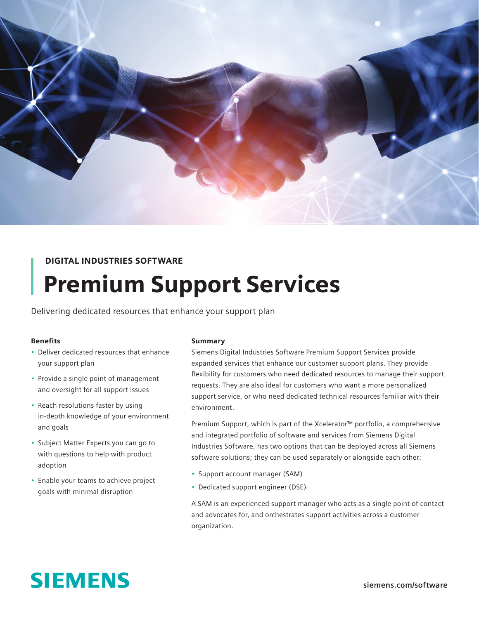

## DIGITAL INDUSTRIES SOFTWARE

# Premium Support Services

Delivering dedicated resources that enhance your support plan

#### Benefits

- Deliver dedicated resources that enhance your support plan
- Provide a single point of management and oversight for all support issues
- Reach resolutions faster by using in-depth knowledge of your environment and goals
- Subject Matter Experts you can go to with questions to help with product adoption
- Enable your teams to achieve project goals with minimal disruption

#### Summary

Siemens Digital Industries Software Premium Support Services provide expanded services that enhance our customer support plans. They provide flexibility for customers who need dedicated resources to manage their support requests. They are also ideal for customers who want a more personalized support service, or who need dedicated technical resources familiar with their environment.

Premium Support, which is part of the Xcelerator™ portfolio, a comprehensive and integrated portfolio of software and services from Siemens Digital Industries Software, has two options that can be deployed across all Siemens software solutions; they can be used separately or alongside each other:

- Support account manager (SAM)
- Dedicated support engineer (DSE)

A SAM is an experienced support manager who acts as a single point of contact and advocates for, and orchestrates support activities across a customer organization.

# **SIEMENS**